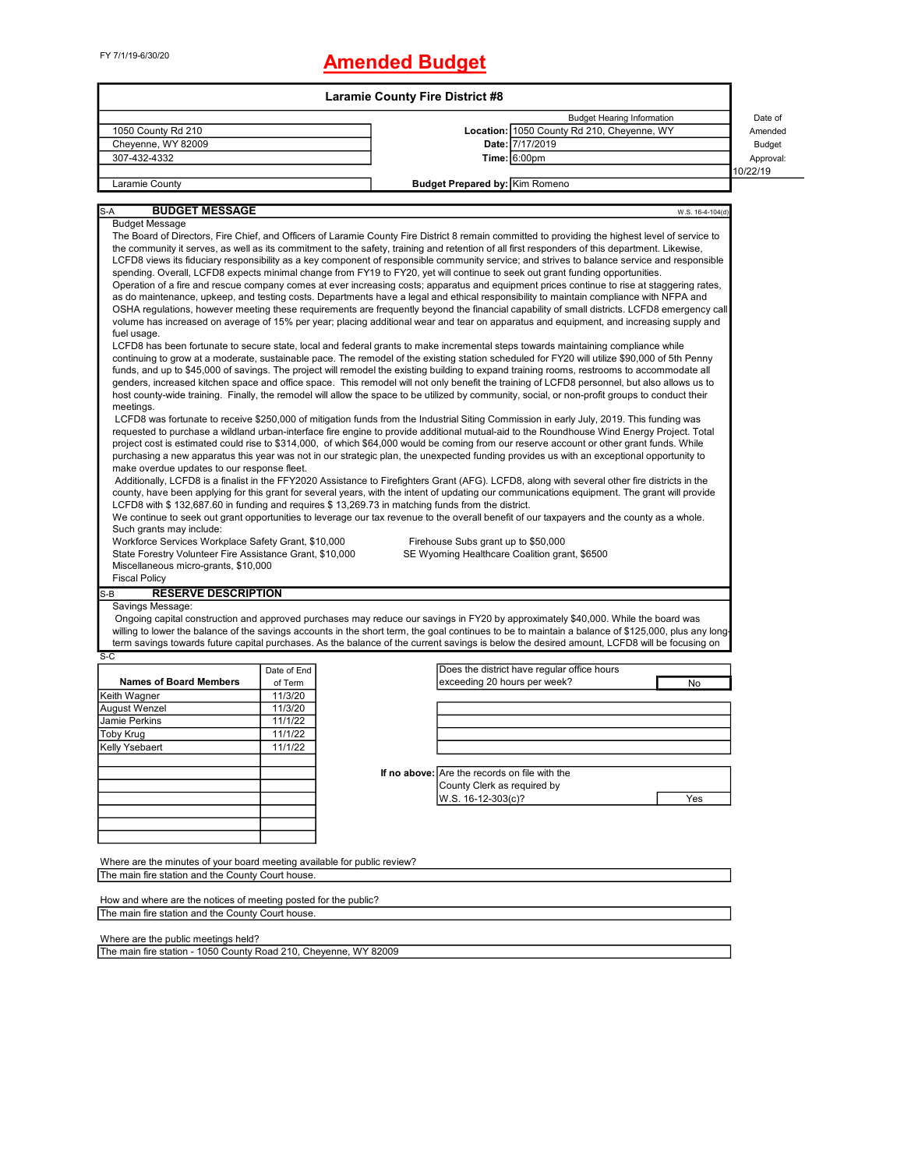# FY 7/1/19-6/30/20 **Amended Budget**

|                                                                                                                                                                                                                                                                                                 |                    | <b>Laramie County Fire District #8</b> |                                                   |                                                                                                                                                |                  |               |  |  |  |  |
|-------------------------------------------------------------------------------------------------------------------------------------------------------------------------------------------------------------------------------------------------------------------------------------------------|--------------------|----------------------------------------|---------------------------------------------------|------------------------------------------------------------------------------------------------------------------------------------------------|------------------|---------------|--|--|--|--|
|                                                                                                                                                                                                                                                                                                 |                    |                                        |                                                   | <b>Budget Hearing Information</b>                                                                                                              |                  | Date of       |  |  |  |  |
| 1050 County Rd 210                                                                                                                                                                                                                                                                              |                    |                                        |                                                   | Location: 1050 County Rd 210, Cheyenne, WY                                                                                                     |                  | Amended       |  |  |  |  |
| Cheyenne, WY 82009                                                                                                                                                                                                                                                                              |                    |                                        |                                                   | Date: 7/17/2019                                                                                                                                |                  | <b>Budget</b> |  |  |  |  |
| 307-432-4332                                                                                                                                                                                                                                                                                    |                    |                                        |                                                   | <b>Time: 6:00pm</b>                                                                                                                            |                  | Approval:     |  |  |  |  |
| Laramie County                                                                                                                                                                                                                                                                                  |                    |                                        | <b>Budget Prepared by: Kim Romeno</b>             |                                                                                                                                                |                  | 10/22/19      |  |  |  |  |
|                                                                                                                                                                                                                                                                                                 |                    |                                        |                                                   |                                                                                                                                                |                  |               |  |  |  |  |
| <b>BUDGET MESSAGE</b><br>S-A                                                                                                                                                                                                                                                                    |                    |                                        |                                                   |                                                                                                                                                | W.S. 16-4-104(d) |               |  |  |  |  |
| <b>Budget Message</b>                                                                                                                                                                                                                                                                           |                    |                                        |                                                   |                                                                                                                                                |                  |               |  |  |  |  |
| The Board of Directors, Fire Chief, and Officers of Laramie County Fire District 8 remain committed to providing the highest level of service to                                                                                                                                                |                    |                                        |                                                   |                                                                                                                                                |                  |               |  |  |  |  |
| the community it serves, as well as its commitment to the safety, training and retention of all first responders of this department. Likewise,<br>LCFD8 views its fiduciary responsibility as a key component of responsible community service; and strives to balance service and responsible  |                    |                                        |                                                   |                                                                                                                                                |                  |               |  |  |  |  |
| spending. Overall, LCFD8 expects minimal change from FY19 to FY20, yet will continue to seek out grant funding opportunities.                                                                                                                                                                   |                    |                                        |                                                   |                                                                                                                                                |                  |               |  |  |  |  |
| Operation of a fire and rescue company comes at ever increasing costs; apparatus and equipment prices continue to rise at staggering rates,                                                                                                                                                     |                    |                                        |                                                   |                                                                                                                                                |                  |               |  |  |  |  |
| as do maintenance, upkeep, and testing costs. Departments have a legal and ethical responsibility to maintain compliance with NFPA and                                                                                                                                                          |                    |                                        |                                                   |                                                                                                                                                |                  |               |  |  |  |  |
| OSHA regulations, however meeting these requirements are frequently beyond the financial capability of small districts. LCFD8 emergency call<br>volume has increased on average of 15% per year; placing additional wear and tear on apparatus and equipment, and increasing supply and         |                    |                                        |                                                   |                                                                                                                                                |                  |               |  |  |  |  |
| fuel usage.                                                                                                                                                                                                                                                                                     |                    |                                        |                                                   |                                                                                                                                                |                  |               |  |  |  |  |
| LCFD8 has been fortunate to secure state, local and federal grants to make incremental steps towards maintaining compliance while                                                                                                                                                               |                    |                                        |                                                   |                                                                                                                                                |                  |               |  |  |  |  |
| continuing to grow at a moderate, sustainable pace. The remodel of the existing station scheduled for FY20 will utilize \$90,000 of 5th Penny                                                                                                                                                   |                    |                                        |                                                   |                                                                                                                                                |                  |               |  |  |  |  |
| funds, and up to \$45,000 of savings. The project will remodel the existing building to expand training rooms, restrooms to accommodate all                                                                                                                                                     |                    |                                        |                                                   |                                                                                                                                                |                  |               |  |  |  |  |
| genders, increased kitchen space and office space. This remodel will not only benefit the training of LCFD8 personnel, but also allows us to<br>host county-wide training. Finally, the remodel will allow the space to be utilized by community, social, or non-profit groups to conduct their |                    |                                        |                                                   |                                                                                                                                                |                  |               |  |  |  |  |
| meetings.                                                                                                                                                                                                                                                                                       |                    |                                        |                                                   |                                                                                                                                                |                  |               |  |  |  |  |
|                                                                                                                                                                                                                                                                                                 |                    |                                        |                                                   | LCFD8 was fortunate to receive \$250,000 of mitigation funds from the Industrial Siting Commission in early July, 2019. This funding was       |                  |               |  |  |  |  |
| requested to purchase a wildland urban-interface fire engine to provide additional mutual-aid to the Roundhouse Wind Energy Project. Total                                                                                                                                                      |                    |                                        |                                                   |                                                                                                                                                |                  |               |  |  |  |  |
| project cost is estimated could rise to \$314,000, of which \$64,000 would be coming from our reserve account or other grant funds. While<br>purchasing a new apparatus this year was not in our strategic plan, the unexpected funding provides us with an exceptional opportunity to          |                    |                                        |                                                   |                                                                                                                                                |                  |               |  |  |  |  |
| make overdue updates to our response fleet.                                                                                                                                                                                                                                                     |                    |                                        |                                                   |                                                                                                                                                |                  |               |  |  |  |  |
|                                                                                                                                                                                                                                                                                                 |                    |                                        |                                                   | Additionally, LCFD8 is a finalist in the FFY2020 Assistance to Firefighters Grant (AFG). LCFD8, along with several other fire districts in the |                  |               |  |  |  |  |
| county, have been applying for this grant for several years, with the intent of updating our communications equipment. The grant will provide                                                                                                                                                   |                    |                                        |                                                   |                                                                                                                                                |                  |               |  |  |  |  |
| LCFD8 with \$132,687.60 in funding and requires \$13,269.73 in matching funds from the district.                                                                                                                                                                                                |                    |                                        |                                                   |                                                                                                                                                |                  |               |  |  |  |  |
| We continue to seek out grant opportunities to leverage our tax revenue to the overall benefit of our taxpayers and the county as a whole.<br>Such grants may include:                                                                                                                          |                    |                                        |                                                   |                                                                                                                                                |                  |               |  |  |  |  |
| Workforce Services Workplace Safety Grant, \$10,000                                                                                                                                                                                                                                             |                    |                                        | Firehouse Subs grant up to \$50,000               |                                                                                                                                                |                  |               |  |  |  |  |
| State Forestry Volunteer Fire Assistance Grant, \$10,000                                                                                                                                                                                                                                        |                    |                                        |                                                   | SE Wyoming Healthcare Coalition grant, \$6500                                                                                                  |                  |               |  |  |  |  |
| Miscellaneous micro-grants, \$10,000                                                                                                                                                                                                                                                            |                    |                                        |                                                   |                                                                                                                                                |                  |               |  |  |  |  |
| <b>Fiscal Policy</b>                                                                                                                                                                                                                                                                            |                    |                                        |                                                   |                                                                                                                                                |                  |               |  |  |  |  |
| <b>RESERVE DESCRIPTION</b><br>S-B                                                                                                                                                                                                                                                               |                    |                                        |                                                   |                                                                                                                                                |                  |               |  |  |  |  |
| Savings Message:                                                                                                                                                                                                                                                                                |                    |                                        |                                                   | Ongoing capital construction and approved purchases may reduce our savings in FY20 by approximately \$40,000. While the board was              |                  |               |  |  |  |  |
| willing to lower the balance of the savings accounts in the short term, the goal continues to be to maintain a balance of \$125,000, plus any long-                                                                                                                                             |                    |                                        |                                                   |                                                                                                                                                |                  |               |  |  |  |  |
| term savings towards future capital purchases. As the balance of the current savings is below the desired amount, LCFD8 will be focusing on                                                                                                                                                     |                    |                                        |                                                   |                                                                                                                                                |                  |               |  |  |  |  |
| $S-C$                                                                                                                                                                                                                                                                                           |                    |                                        |                                                   |                                                                                                                                                |                  |               |  |  |  |  |
|                                                                                                                                                                                                                                                                                                 | Date of End        |                                        |                                                   | Does the district have regular office hours                                                                                                    |                  |               |  |  |  |  |
| <b>Names of Board Members</b><br>Keith Wagner                                                                                                                                                                                                                                                   | of Term<br>11/3/20 |                                        | exceeding 20 hours per week?                      |                                                                                                                                                | No               |               |  |  |  |  |
| <b>August Wenzel</b>                                                                                                                                                                                                                                                                            | 11/3/20            |                                        |                                                   |                                                                                                                                                |                  |               |  |  |  |  |
| Jamie Perkins                                                                                                                                                                                                                                                                                   | 11/1/22            |                                        |                                                   |                                                                                                                                                |                  |               |  |  |  |  |
| <b>Toby Krug</b>                                                                                                                                                                                                                                                                                | 11/1/22            |                                        |                                                   |                                                                                                                                                |                  |               |  |  |  |  |
| Kelly Ysebaert                                                                                                                                                                                                                                                                                  | 11/1/22            |                                        |                                                   |                                                                                                                                                |                  |               |  |  |  |  |
|                                                                                                                                                                                                                                                                                                 |                    |                                        |                                                   |                                                                                                                                                |                  |               |  |  |  |  |
|                                                                                                                                                                                                                                                                                                 |                    |                                        | If no above: Are the records on file with the     |                                                                                                                                                |                  |               |  |  |  |  |
|                                                                                                                                                                                                                                                                                                 |                    |                                        | County Clerk as required by<br>W.S. 16-12-303(c)? |                                                                                                                                                | Yes              |               |  |  |  |  |
|                                                                                                                                                                                                                                                                                                 |                    |                                        |                                                   |                                                                                                                                                |                  |               |  |  |  |  |
|                                                                                                                                                                                                                                                                                                 |                    |                                        |                                                   |                                                                                                                                                |                  |               |  |  |  |  |
|                                                                                                                                                                                                                                                                                                 |                    |                                        |                                                   |                                                                                                                                                |                  |               |  |  |  |  |
|                                                                                                                                                                                                                                                                                                 |                    |                                        |                                                   |                                                                                                                                                |                  |               |  |  |  |  |
| Where are the minutes of your board meeting available for public review?<br>The main fire station and the County Court house.                                                                                                                                                                   |                    |                                        |                                                   |                                                                                                                                                |                  |               |  |  |  |  |
|                                                                                                                                                                                                                                                                                                 |                    |                                        |                                                   |                                                                                                                                                |                  |               |  |  |  |  |
| How and where are the notices of meeting posted for the public?                                                                                                                                                                                                                                 |                    |                                        |                                                   |                                                                                                                                                |                  |               |  |  |  |  |

The main fire station and the County Court house.

Where are the public meetings held?

The main fire station - 1050 County Road 210, Cheyenne, WY 82009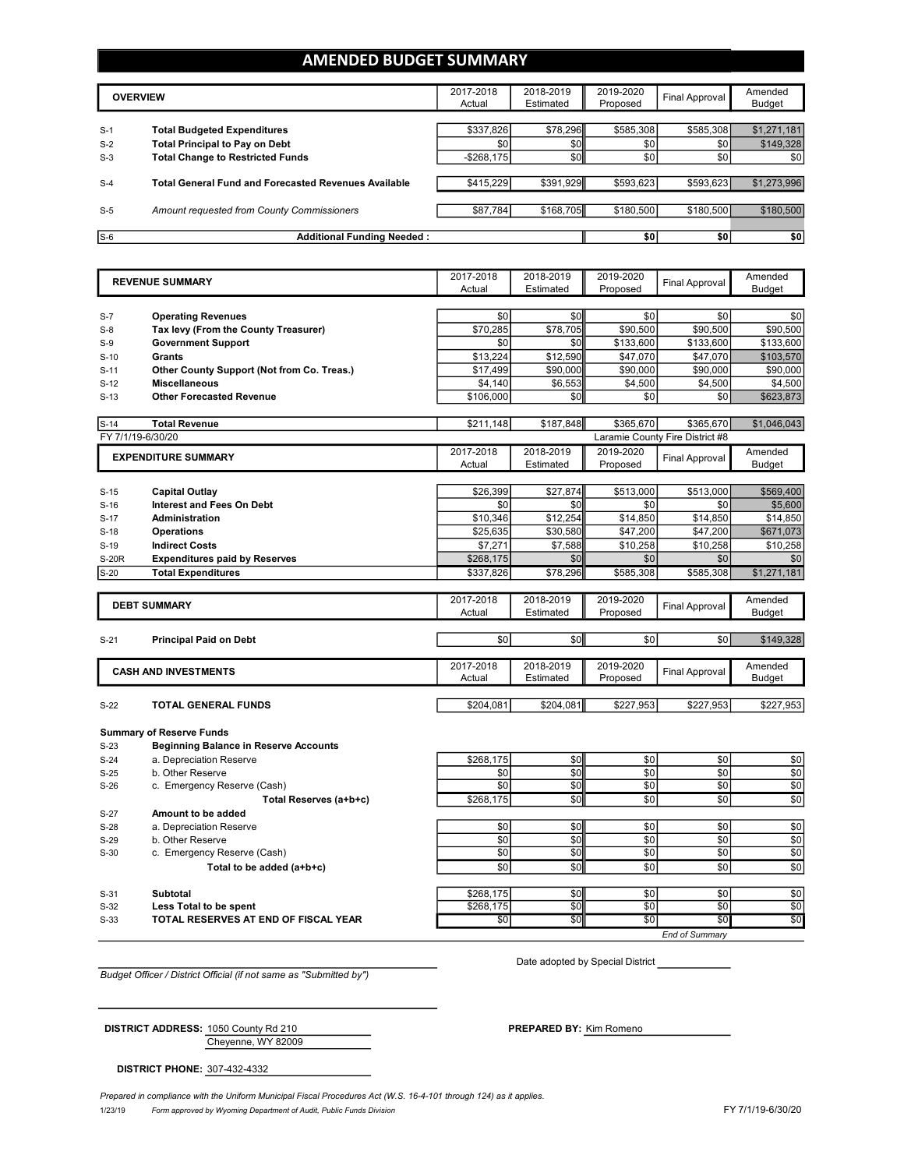## **AMENDED BUDGET SUMMARY**

|       | <b>OVERVIEW</b>                                             | 2017-2018<br>Actual | 2018-2019<br>Estimated | 2019-2020<br>Proposed | Final Approval | Amended<br>Budget |
|-------|-------------------------------------------------------------|---------------------|------------------------|-----------------------|----------------|-------------------|
| $S-1$ | <b>Total Budgeted Expenditures</b>                          | \$337,826           | \$78,296               | \$585.308             | \$585,308      | \$1,271,181       |
| $S-2$ | <b>Total Principal to Pay on Debt</b>                       | \$0                 | \$0                    | \$0                   | \$0            | \$149,328         |
| $S-3$ | <b>Total Change to Restricted Funds</b>                     | $-$268,175$         | \$0                    | \$0                   | \$0            | \$0               |
| $S-4$ | <b>Total General Fund and Forecasted Revenues Available</b> | \$415.229           | \$391,929              | \$593,623             | \$593.623      | \$1,273,996       |
| $S-5$ | Amount requested from County Commissioners                  | \$87,784            | \$168,705              | \$180,500             | \$180,500      | \$180,500         |
| $S-6$ | <b>Additional Funding Needed:</b>                           |                     |                        | \$0                   | \$0            | \$0               |

|              | <b>REVENUE SUMMARY</b>                       | 2017-2018 | 2018-2019       | 2019-2020        | <b>Final Approval</b>           | Amended       |
|--------------|----------------------------------------------|-----------|-----------------|------------------|---------------------------------|---------------|
|              |                                              | Actual    | Estimated       | Proposed         |                                 | <b>Budget</b> |
|              |                                              |           |                 |                  |                                 |               |
| $S-7$        | <b>Operating Revenues</b>                    | \$0       | \$0             | \$0              | \$0                             | \$0           |
| $S-8$        | Tax levy (From the County Treasurer)         | \$70.285  | \$78.705        | \$90,500         | \$90,500                        | \$90,500      |
| $S-9$        | <b>Government Support</b>                    | \$0       | \$0             | \$133,600        | \$133,600                       | \$133,600     |
| $S-10$       | Grants                                       | \$13,224  | \$12,590        | \$47,070         | \$47,070                        | \$103,570     |
| $S-11$       | Other County Support (Not from Co. Treas.)   | \$17,499  | \$90,000        | \$90,000         | \$90,000                        | \$90,000      |
| $S-12$       | <b>Miscellaneous</b>                         | \$4,140   | \$6,553         | \$4,500          | \$4,500                         | \$4,500       |
| $S-13$       | <b>Other Forecasted Revenue</b>              | \$106,000 | \$0             | \$0              | \$0                             | \$623,873     |
|              |                                              |           |                 |                  |                                 |               |
| $S-14$       | <b>Total Revenue</b>                         | \$211,148 | \$187,848       | \$365,670        | \$365,670                       | \$1,046,043   |
|              | FY 7/1/19-6/30/20                            |           |                 |                  | Laramie County Fire District #8 |               |
|              | <b>EXPENDITURE SUMMARY</b>                   | 2017-2018 | 2018-2019       | 2019-2020        | Final Approval                  | Amended       |
|              |                                              | Actual    | Estimated       | Proposed         |                                 | <b>Budget</b> |
|              |                                              |           |                 |                  |                                 |               |
| $S-15$       | <b>Capital Outlay</b>                        | \$26,399  | \$27,874        | \$513,000        | \$513,000                       | \$569,400     |
| $S-16$       | <b>Interest and Fees On Debt</b>             | \$0       | \$0             | \$0              | \$0                             | \$5,600       |
| $S-17$       | <b>Administration</b>                        | \$10,346  | \$12,254        | \$14,850         | \$14,850                        | \$14,850      |
| $S-18$       | <b>Operations</b>                            | \$25,635  | \$30,580        | \$47,200         | \$47,200                        | \$671,073     |
| $S-19$       | <b>Indirect Costs</b>                        | \$7,271   | \$7,588         | \$10,258         | \$10,258                        | \$10,258      |
| <b>S-20R</b> | <b>Expenditures paid by Reserves</b>         | \$268,175 | \$0             | \$0              | \$0                             | \$0           |
| $S-20$       | <b>Total Expenditures</b>                    | \$337,826 | \$78,296        | \$585,308        | \$585,308                       | \$1,271,181   |
|              |                                              |           |                 |                  |                                 |               |
|              | <b>DEBT SUMMARY</b>                          | 2017-2018 | 2018-2019       | 2019-2020        | <b>Final Approval</b>           | Amended       |
|              |                                              | Actual    | Estimated       | Proposed         |                                 | <b>Budget</b> |
| $S-21$       | <b>Principal Paid on Debt</b>                | \$0       | \$0             | \$0              | \$0                             | \$149,328     |
|              |                                              |           |                 |                  |                                 |               |
|              |                                              | 2017-2018 | 2018-2019       | 2019-2020        |                                 | Amended       |
|              | <b>CASH AND INVESTMENTS</b>                  | Actual    | Estimated       | Proposed         | <b>Final Approval</b>           | <b>Budget</b> |
|              |                                              |           |                 |                  |                                 |               |
| $S-22$       | <b>TOTAL GENERAL FUNDS</b>                   | \$204.081 | \$204,081       | \$227,953        | \$227,953                       | \$227,953     |
|              |                                              |           |                 |                  |                                 |               |
|              | <b>Summary of Reserve Funds</b>              |           |                 |                  |                                 |               |
| $S-23$       | <b>Beginning Balance in Reserve Accounts</b> |           |                 |                  |                                 |               |
| $S-24$       | a. Depreciation Reserve                      | \$268,175 | \$0             | \$0              | \$0                             | \$0           |
| $S-25$       | b. Other Reserve                             | \$0       | \$0             | \$0              | \$0                             | \$0           |
| $S-26$       | c. Emergency Reserve (Cash)                  | \$0       | \$0             | \$0              | \$0                             | \$0           |
|              | Total Reserves (a+b+c)                       | \$268,175 | \$0             | \$0              | \$0                             | \$0           |
| $S-27$       | Amount to be added                           |           |                 |                  |                                 |               |
| $S-28$       | a. Depreciation Reserve                      | \$0       | \$0             | \$0              | \$0                             | \$0           |
| $S-29$       | b. Other Reserve                             | \$0       | \$0             | \$0              | \$0                             | \$0           |
| $S-30$       | c. Emergency Reserve (Cash)                  | \$0       | \$0             | \$0              | \$0                             | \$0           |
|              | Total to be added (a+b+c)                    | \$0       | \$0             | \$0              | \$0                             | \$0           |
|              |                                              |           |                 |                  |                                 |               |
| $S-31$       | <b>Subtotal</b>                              | \$268,175 | \$0             | \$0              | \$0                             | \$0           |
| $S-32$       | Less Total to be spent                       | \$268,175 | \$0             | \$0              | \$0                             | \$0           |
| $S-33$       |                                              |           |                 |                  |                                 |               |
|              | TOTAL RESERVES AT END OF FISCAL YEAR         | \$0       | $\overline{50}$ | $\overline{\$0}$ | $\overline{50}$                 | \$0           |

*Budget Officer / District Official (if not same as "Submitted by")*

Date adopted by Special District

Cheyenne, WY 82009 **DISTRICT ADDRESS:** 1050 County Rd 210 **PREPARED BY:** Kim Romeno

**DISTRICT PHONE:** 307-432-4332

1/23/19 *Form approved by Wyoming Department of Audit, Public Funds Division* FY 7/1/19-6/30/20 *Prepared in compliance with the Uniform Municipal Fiscal Procedures Act (W.S. 16-4-101 through 124) as it applies.*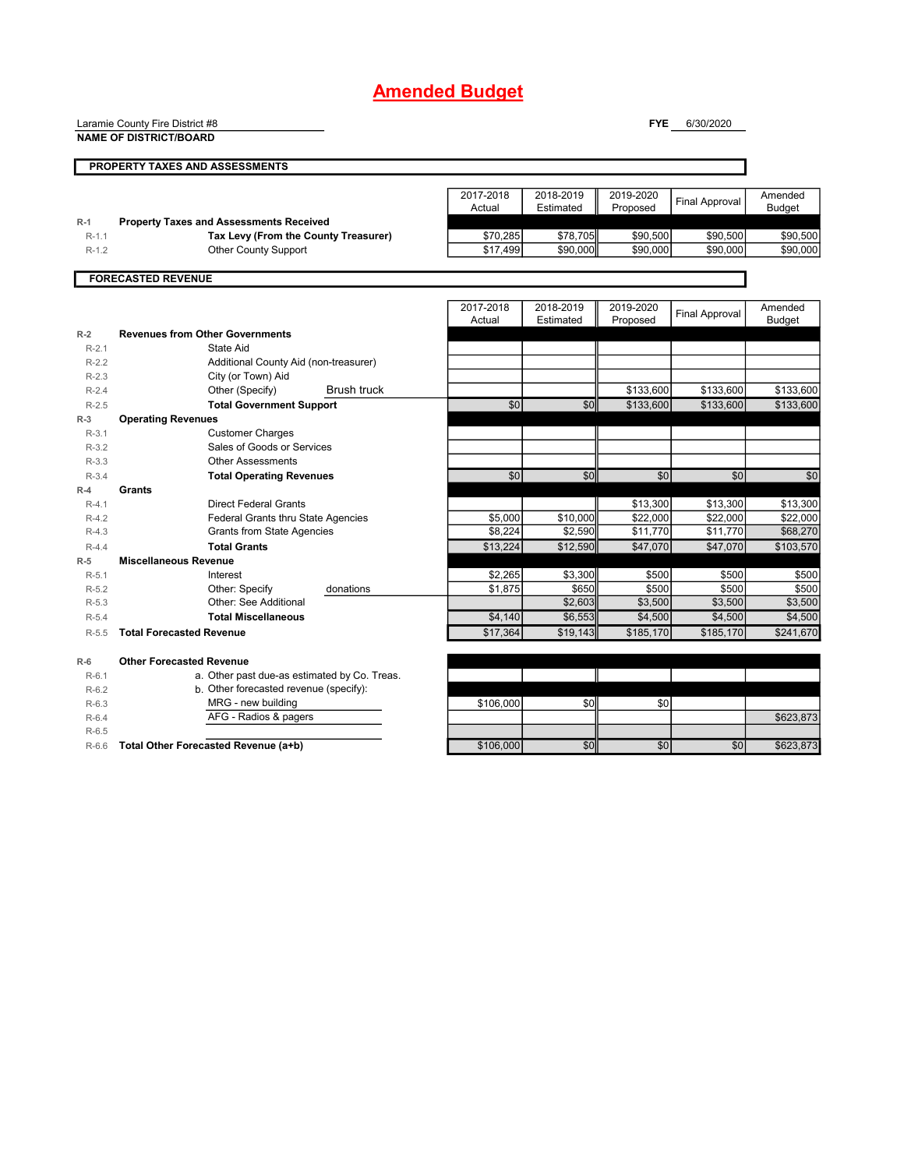## **Amended Budget**

Laramie County Fire District #8

**FYE** 6/30/2020

|                    | <b>NAME OF DISTRICT/BOARD</b>                               |                     |                        |                       |                       |                          |
|--------------------|-------------------------------------------------------------|---------------------|------------------------|-----------------------|-----------------------|--------------------------|
|                    | <b>PROPERTY TAXES AND ASSESSMENTS</b>                       |                     |                        |                       |                       |                          |
|                    |                                                             | 2017-2018<br>Actual | 2018-2019<br>Estimated | 2019-2020<br>Proposed | <b>Final Approval</b> | Amended<br><b>Budget</b> |
| $R-1$              | <b>Property Taxes and Assessments Received</b>              |                     |                        |                       |                       |                          |
| $R-1.1$            | Tax Levy (From the County Treasurer)                        | \$70,285            | \$78,705               | \$90,500              | \$90,500              | \$90,500                 |
| $R-1.2$            | Other County Support                                        | \$17,499            | \$90,000               | \$90,000              | \$90.000              | \$90,000                 |
|                    | <b>FORECASTED REVENUE</b>                                   |                     |                        |                       |                       |                          |
|                    |                                                             | 2017-2018<br>Actual | 2018-2019<br>Estimated | 2019-2020<br>Proposed | <b>Final Approval</b> | Amended<br><b>Budget</b> |
| $R-2$              | <b>Revenues from Other Governments</b>                      |                     |                        |                       |                       |                          |
| $R-2.1$<br>$R-2.2$ | State Aid                                                   |                     |                        |                       |                       |                          |
| $R - 2.3$          | Additional County Aid (non-treasurer)<br>City (or Town) Aid |                     |                        |                       |                       |                          |
| $R - 2.4$          | <b>Brush truck</b><br>Other (Specify)                       |                     |                        | \$133,600             | \$133,600             | \$133,600                |
| $R-2.5$            | <b>Total Government Support</b>                             | $\overline{30}$     | \$0                    | \$133,600             | \$133,600             | \$133,600                |
| $R-3$              | <b>Operating Revenues</b>                                   |                     |                        |                       |                       |                          |
| $R-3.1$            | <b>Customer Charges</b>                                     |                     |                        |                       |                       |                          |
| $R-3.2$            | Sales of Goods or Services                                  |                     |                        |                       |                       |                          |
| $R-3.3$            | <b>Other Assessments</b>                                    |                     |                        |                       |                       |                          |
| $R-3.4$            | <b>Total Operating Revenues</b>                             | \$0                 | \$0                    | \$0                   | \$0                   | \$0                      |
| $R-4$              | <b>Grants</b>                                               |                     |                        |                       |                       |                          |
| $R-4.1$            | <b>Direct Federal Grants</b>                                |                     |                        | \$13,300              | \$13,300              | \$13,300                 |
| $R-4.2$            | Federal Grants thru State Agencies                          | \$5,000             | \$10,000               | \$22.000              | \$22,000              | \$22,000                 |
| $R-4.3$            | <b>Grants from State Agencies</b>                           | \$8.224             | \$2,590                | \$11,770              | \$11,770              | \$68,270                 |
| $R - 4.4$          | <b>Total Grants</b>                                         | \$13,224            | \$12,590               | \$47,070              | \$47,070              | \$103,570                |
| $R-5$              | <b>Miscellaneous Revenue</b>                                |                     |                        |                       |                       |                          |
| $R-5.1$            | Interest                                                    | \$2,265             | \$3,300                | \$500                 | \$500                 | \$500                    |
| $R-5.2$            | Other: Specify<br>donations                                 | \$1,875             | \$650                  | \$500                 | \$500                 | \$500                    |
| $R - 5.3$          | Other: See Additional                                       |                     | \$2,603                | \$3,500               | \$3,500               | \$3,500                  |
| $R - 5.4$          | <b>Total Miscellaneous</b>                                  | \$4,140             | \$6,553                | \$4,500               | \$4,500               | \$4,500                  |
| $R-5.5$            | <b>Total Forecasted Revenue</b>                             | \$17,364            | \$19,143               | \$185,170             | \$185,170             | \$241,670                |
| $R-6$              | <b>Other Forecasted Revenue</b>                             |                     |                        |                       |                       |                          |
| $R-6.1$            | a. Other past due-as estimated by Co. Treas.                |                     |                        |                       |                       |                          |
| $R-6.2$            | b. Other forecasted revenue (specify):                      |                     |                        |                       |                       |                          |
| $R-6.3$            | MRG - new building                                          | \$106,000           | \$0                    | \$0                   |                       |                          |
| $R-6.4$            | AFG - Radios & pagers                                       |                     |                        |                       |                       | \$623,873                |
| $R-6.5$            |                                                             |                     |                        |                       |                       |                          |
| $R-6.6$            | Total Other Forecasted Revenue (a+b)                        | \$106,000           | \$0 <sub>1</sub>       | \$0                   | \$0                   | \$623,873                |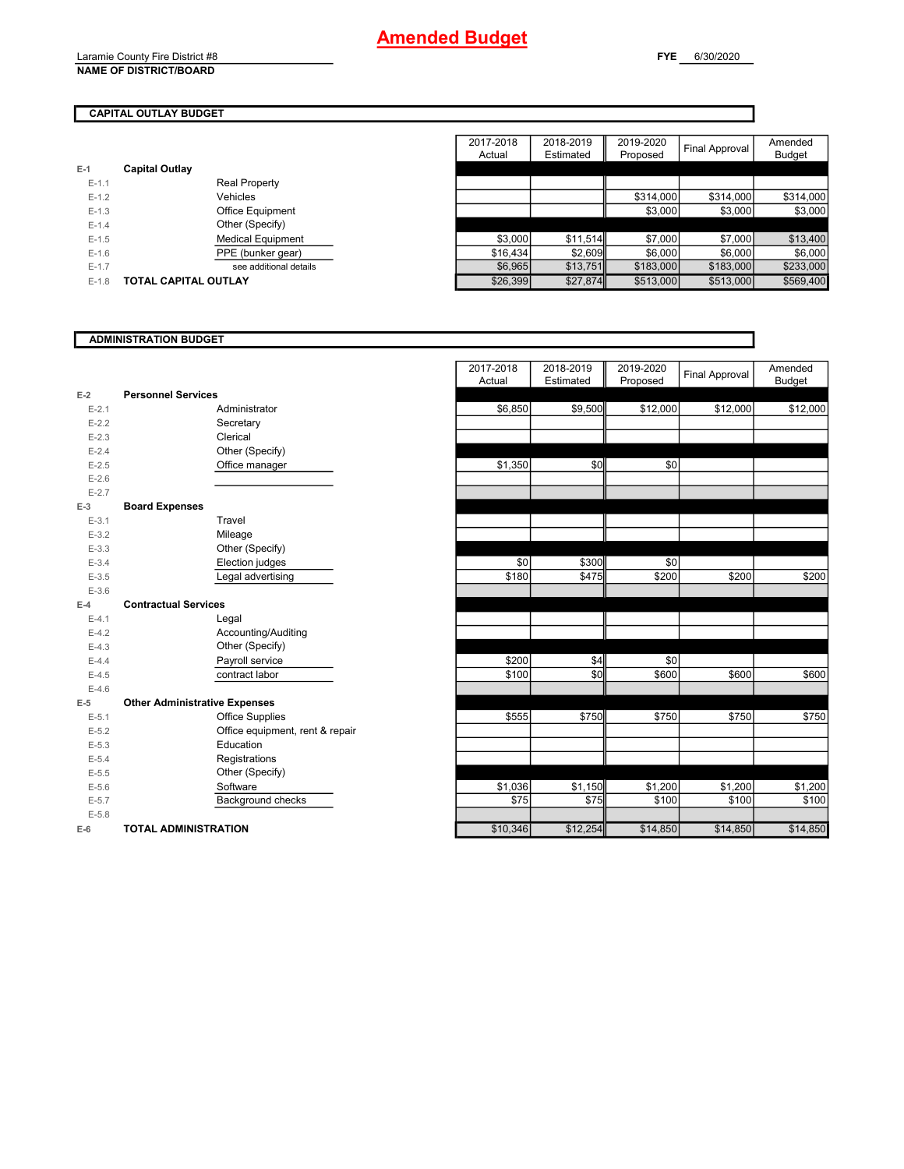Laramie County Fire District #8 **NAME OF DISTRICT/BOARD**

## **CAPITAL OUTLAY BUDGET**

|         |                             | 2017-2018 | 2018-2019 | 2019-2020 | <b>Final Approval</b> | Amended       |
|---------|-----------------------------|-----------|-----------|-----------|-----------------------|---------------|
|         |                             | Actual    | Estimated | Proposed  |                       | <b>Budget</b> |
| $E-1$   | <b>Capital Outlay</b>       |           |           |           |                       |               |
| $E-1.1$ | Real Property               |           |           |           |                       |               |
| $E-1.2$ | Vehicles                    |           |           | \$314,000 | \$314,000             | \$314,000     |
| $E-1.3$ | Office Equipment            |           |           | \$3,000   | \$3,000               | \$3,000       |
| $E-1.4$ | Other (Specify)             |           |           |           |                       |               |
| $E-1.5$ | <b>Medical Equipment</b>    | \$3,000   | \$11,514  | \$7,000   | \$7,000               | \$13,400      |
| $E-1.6$ | PPE (bunker gear)           | \$16,434  | \$2,609   | \$6,000   | \$6,000               | \$6,000       |
| $E-1.7$ | see additional details      | \$6,965   | \$13,751  | \$183,000 | \$183,000             | \$233,000     |
| $E-1.8$ | <b>TOTAL CAPITAL OUTLAY</b> | \$26,399  | \$27,874  | \$513,000 | \$513,000             | \$569,400     |
|         |                             |           |           |           |                       |               |

### **ADMINISTRATION BUDGET**

|           |                                      | 2017-2018<br>Actual | 2018-2019<br>Estimated | 2019-2020<br>Proposed | <b>Final Approval</b> | Amended<br><b>Budget</b> |
|-----------|--------------------------------------|---------------------|------------------------|-----------------------|-----------------------|--------------------------|
| $E-2$     | <b>Personnel Services</b>            |                     |                        |                       |                       |                          |
| $E-2.1$   | Administrator                        | \$6,850             | \$9,500                | \$12,000              | \$12,000              | \$12,000                 |
| $E - 2.2$ | Secretary                            |                     |                        |                       |                       |                          |
| $E - 2.3$ | Clerical                             |                     |                        |                       |                       |                          |
| $E - 2.4$ | Other (Specify)                      |                     |                        |                       |                       |                          |
| $E-2.5$   | Office manager                       | \$1,350             | \$0                    | \$0                   |                       |                          |
| $E-2.6$   |                                      |                     |                        |                       |                       |                          |
| $E - 2.7$ |                                      |                     |                        |                       |                       |                          |
| $E-3$     | <b>Board Expenses</b>                |                     |                        |                       |                       |                          |
| $E-3.1$   | Travel                               |                     |                        |                       |                       |                          |
| $E - 3.2$ | Mileage                              |                     |                        |                       |                       |                          |
| $E-3.3$   | Other (Specify)                      |                     |                        |                       |                       |                          |
| $E - 3.4$ | Election judges                      | \$0                 | \$300                  | \$0                   |                       |                          |
| $E-3.5$   | Legal advertising                    | \$180               | \$475                  | \$200                 | \$200                 | \$200                    |
| $E - 3.6$ |                                      |                     |                        |                       |                       |                          |
| $E-4$     | <b>Contractual Services</b>          |                     |                        |                       |                       |                          |
| $E-4.1$   | Legal                                |                     |                        |                       |                       |                          |
| $E-4.2$   | Accounting/Auditing                  |                     |                        |                       |                       |                          |
| $E-4.3$   | Other (Specify)                      |                     |                        |                       |                       |                          |
| $E-4.4$   | Payroll service                      | \$200               | \$4                    | \$0                   |                       |                          |
| $E-4.5$   | contract labor                       | \$100               | \$0                    | \$600                 | \$600                 | \$600                    |
| $E-4.6$   |                                      |                     |                        |                       |                       |                          |
| $E-5$     | <b>Other Administrative Expenses</b> |                     |                        |                       |                       |                          |
| $E - 5.1$ | <b>Office Supplies</b>               | \$555               | \$750                  | \$750                 | \$750                 | \$750                    |
| $E - 5.2$ | Office equipment, rent & repair      |                     |                        |                       |                       |                          |
| $E - 5.3$ | Education                            |                     |                        |                       |                       |                          |
| $E - 5.4$ | Registrations                        |                     |                        |                       |                       |                          |
| $E-5.5$   | Other (Specify)                      |                     |                        |                       |                       |                          |
| $E - 5.6$ | Software                             | \$1,036             | \$1,150                | \$1,200               | \$1,200               | \$1,200                  |
| $E - 5.7$ | Background checks                    | \$75                | \$75                   | \$100                 | \$100                 | \$100                    |
| $E - 5.8$ |                                      |                     |                        |                       |                       |                          |
| $E-6$     | <b>TOTAL ADMINISTRATION</b>          | \$10,346            | \$12,254               | \$14,850              | \$14,850              | \$14,850                 |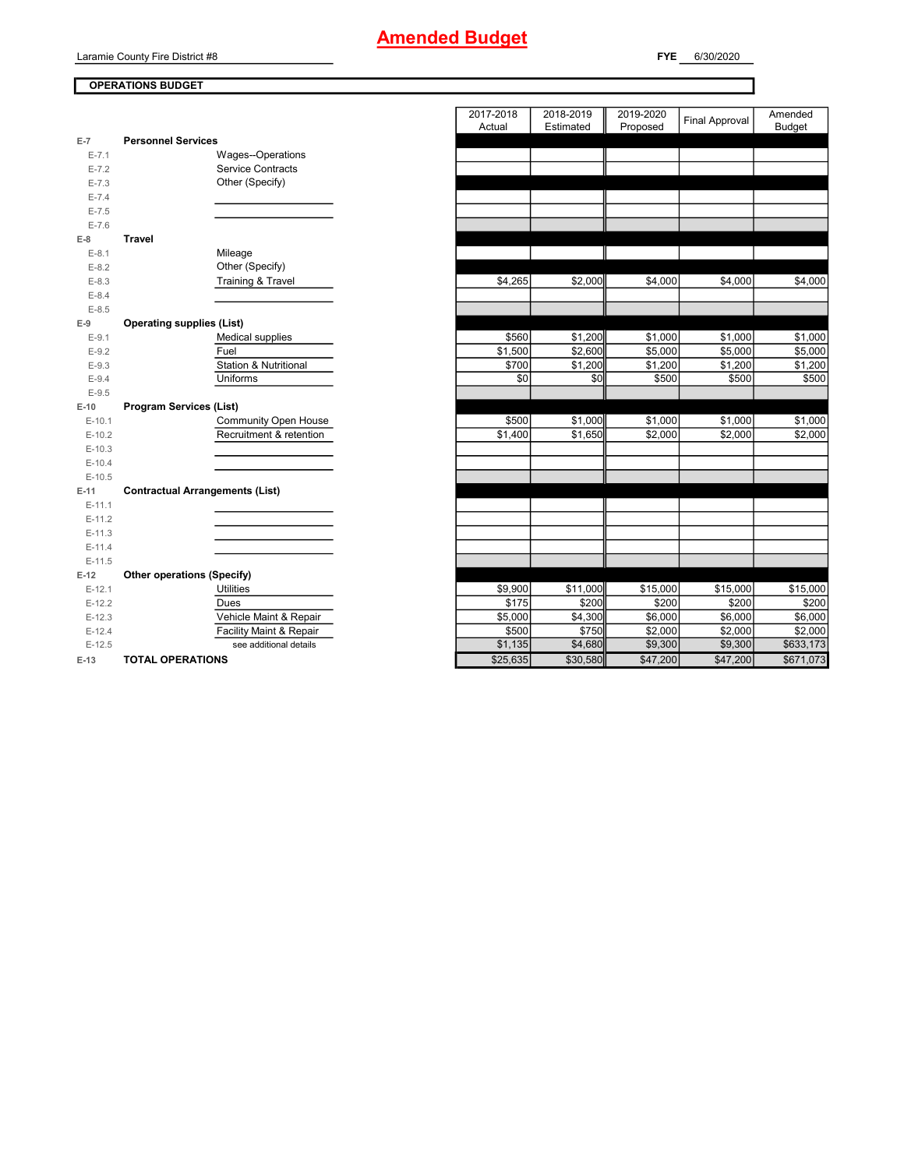Laramie County Fire District #8

## **OPERATIONS BUDGET**

|           |                                        | 2017-2018<br>Actual | 2018-2019<br>Estimated | 2019-2020<br>Proposed | <b>Final Approval</b> | Amended<br><b>Budget</b> |
|-----------|----------------------------------------|---------------------|------------------------|-----------------------|-----------------------|--------------------------|
| $E-7$     | <b>Personnel Services</b>              |                     |                        |                       |                       |                          |
| $E - 7.1$ | Wages--Operations                      |                     |                        |                       |                       |                          |
| $E - 7.2$ | <b>Service Contracts</b>               |                     |                        |                       |                       |                          |
| $E - 7.3$ | Other (Specify)                        |                     |                        |                       |                       |                          |
| $E - 7.4$ |                                        |                     |                        |                       |                       |                          |
| $E - 7.5$ |                                        |                     |                        |                       |                       |                          |
| $E - 7.6$ |                                        |                     |                        |                       |                       |                          |
| $E-8$     | <b>Travel</b>                          |                     |                        |                       |                       |                          |
| $E-8.1$   | Mileage                                |                     |                        |                       |                       |                          |
| $E - 8.2$ | Other (Specify)                        |                     |                        |                       |                       |                          |
| $E - 8.3$ | Training & Travel                      | \$4,265             | \$2,000                | \$4,000               | \$4,000               | \$4,000                  |
| $E - 8.4$ |                                        |                     |                        |                       |                       |                          |
| $E-8.5$   |                                        |                     |                        |                       |                       |                          |
| $E-9$     | <b>Operating supplies (List)</b>       |                     |                        |                       |                       |                          |
| $E-9.1$   | Medical supplies                       | \$560               | \$1,200                | \$1,000               | \$1,000               | \$1,000                  |
| $E-9.2$   | Fuel                                   | \$1,500             | \$2,600                | \$5,000               | \$5,000               | \$5,000                  |
| $E - 9.3$ | <b>Station &amp; Nutritional</b>       | \$700               | \$1,200                | \$1,200               | \$1,200               | \$1,200                  |
| $E - 9.4$ | Uniforms                               | \$0                 | \$0                    | \$500                 | \$500                 | \$500                    |
| $E-9.5$   |                                        |                     |                        |                       |                       |                          |
| $E-10$    | <b>Program Services (List)</b>         |                     |                        |                       |                       |                          |
| $E-10.1$  | Community Open House                   | \$500               | \$1,000                | \$1,000               | \$1,000               | \$1,000                  |
| $E-10.2$  | Recruitment & retention                | \$1,400             | \$1,650                | \$2,000               | \$2,000               | \$2,000                  |
| $E-10.3$  |                                        |                     |                        |                       |                       |                          |
| $E-10.4$  |                                        |                     |                        |                       |                       |                          |
| $E-10.5$  |                                        |                     |                        |                       |                       |                          |
| $E-11$    | <b>Contractual Arrangements (List)</b> |                     |                        |                       |                       |                          |
| $E-11.1$  |                                        |                     |                        |                       |                       |                          |
| $E-11.2$  |                                        |                     |                        |                       |                       |                          |
| $E-11.3$  |                                        |                     |                        |                       |                       |                          |
| $E-11.4$  |                                        |                     |                        |                       |                       |                          |
| $E-11.5$  |                                        |                     |                        |                       |                       |                          |
| $E-12$    | Other operations (Specify)             |                     |                        |                       |                       |                          |
| $E-12.1$  | <b>Utilities</b>                       | \$9,900             | \$11,000               | \$15,000              | \$15,000              | \$15,000                 |
| $E-12.2$  | <b>Dues</b>                            | \$175               | \$200                  | \$200                 | \$200                 | \$200                    |
| $E-12.3$  | Vehicle Maint & Repair                 | \$5,000             | \$4,300                | \$6,000               | \$6,000               | \$6,000                  |
| $E-12.4$  | Facility Maint & Repair                | \$500               | \$750                  | \$2,000               | \$2,000               | \$2,000                  |
| $E-12.5$  | see additional details                 | \$1,135             | \$4,680                | \$9,300               | \$9,300               | \$633,173                |
| $E-13$    | <b>TOTAL OPERATIONS</b>                | \$25,635            | \$30,580               | \$47,200              | \$47,200              | \$671,073                |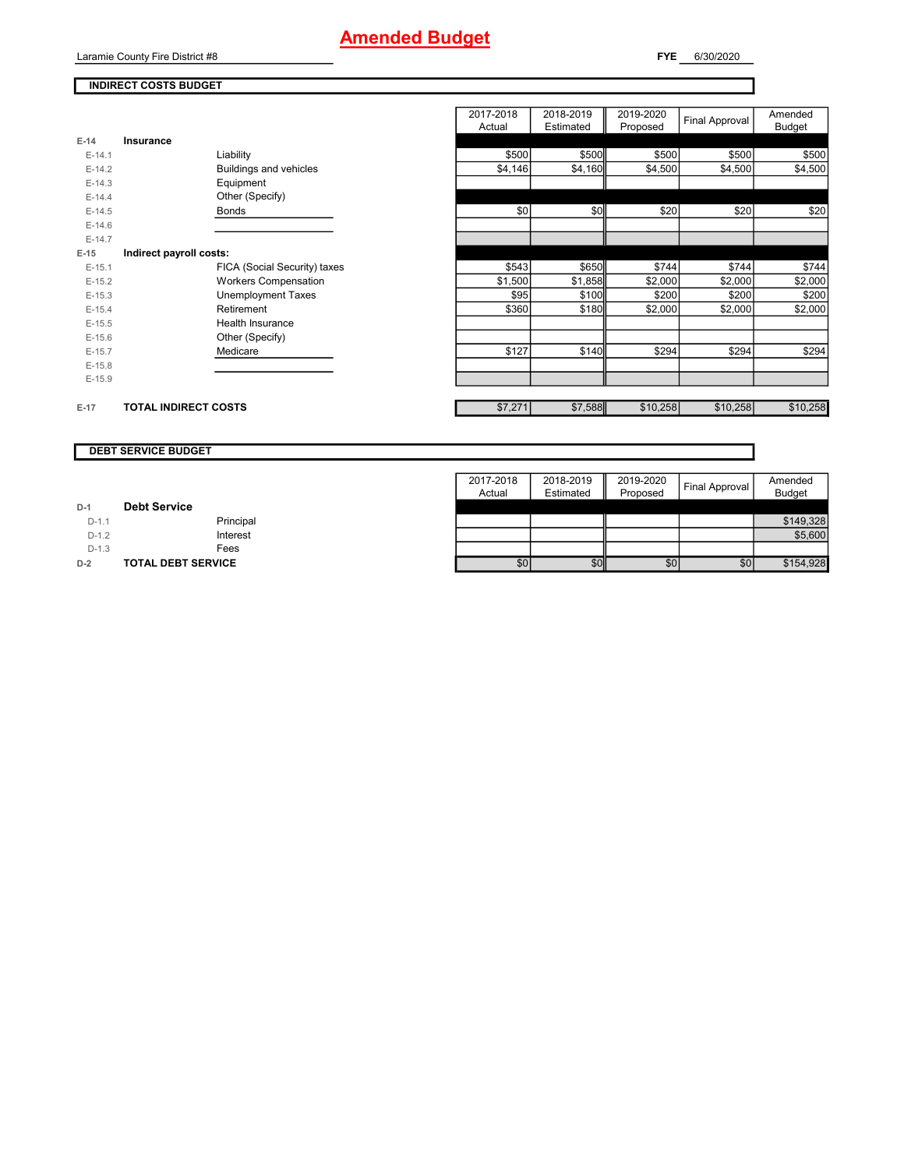## **Amended Budget**

Laramie County Fire District #8

**FYE** 6/30/2020

## **INDIRECT COSTS BUDGET**

|          |                              | 2017-2018<br>Actual | 2018-2019<br>Estimated | 2019-2020<br>Proposed | Final Approval | Amended<br><b>Budget</b> |
|----------|------------------------------|---------------------|------------------------|-----------------------|----------------|--------------------------|
| $E-14$   | Insurance                    |                     |                        |                       |                |                          |
| $E-14.1$ | Liability                    | \$500               | \$500                  | \$500                 | \$500          | \$500                    |
| $E-14.2$ | Buildings and vehicles       | \$4,146             | \$4,160                | \$4,500               | \$4,500        | \$4,500                  |
| $E-14.3$ | Equipment                    |                     |                        |                       |                |                          |
| $E-14.4$ | Other (Specify)              |                     |                        |                       |                |                          |
| $E-14.5$ | Bonds                        | \$0                 | \$0                    | \$20                  | \$20           | \$20                     |
| $E-14.6$ |                              |                     |                        |                       |                |                          |
| $E-14.7$ |                              |                     |                        |                       |                |                          |
| $E-15$   | Indirect payroll costs:      |                     |                        |                       |                |                          |
| $E-15.1$ | FICA (Social Security) taxes | \$543               | \$650                  | \$744                 | \$744          | \$744                    |
| $E-15.2$ | <b>Workers Compensation</b>  | \$1,500             | \$1,858                | \$2,000               | \$2,000        | \$2,000                  |
| $E-15.3$ | <b>Unemployment Taxes</b>    | \$95                | \$100                  | \$200                 | \$200          | \$200                    |
| $E-15.4$ | Retirement                   | \$360               | \$180                  | \$2,000               | \$2,000        | \$2,000                  |
| $E-15.5$ | Health Insurance             |                     |                        |                       |                |                          |
| $E-15.6$ | Other (Specify)              |                     |                        |                       |                |                          |
| $E-15.7$ | Medicare                     | \$127               | \$140                  | \$294                 | \$294          | \$294                    |
| $E-15.8$ |                              |                     |                        |                       |                |                          |
| $E-15.9$ |                              |                     |                        |                       |                |                          |
|          |                              |                     |                        |                       |                |                          |
| $E-17$   | <b>TOTAL INDIRECT COSTS</b>  | \$7,271             | \$7,588                | \$10,258              | \$10,258       | \$10,258                 |

#### **DEBT SERVICE BUDGET**

|         |                           | 2017-2018 | 2018-2019 | 2019-2020        | Final Approval | Amended       |
|---------|---------------------------|-----------|-----------|------------------|----------------|---------------|
|         |                           | Actual    | Estimated | Proposed         |                | <b>Budget</b> |
| $D-1$   | <b>Debt Service</b>       |           |           |                  |                |               |
| $D-1.1$ | Principal                 |           |           |                  |                | \$149,328     |
| $D-1.2$ | Interest                  |           |           |                  |                | \$5,600       |
| $D-1.3$ | Fees                      |           |           |                  |                |               |
| $D-2$   | <b>TOTAL DEBT SERVICE</b> | \$0       | \$0       | \$0 <sub>1</sub> | \$0            | \$154,928     |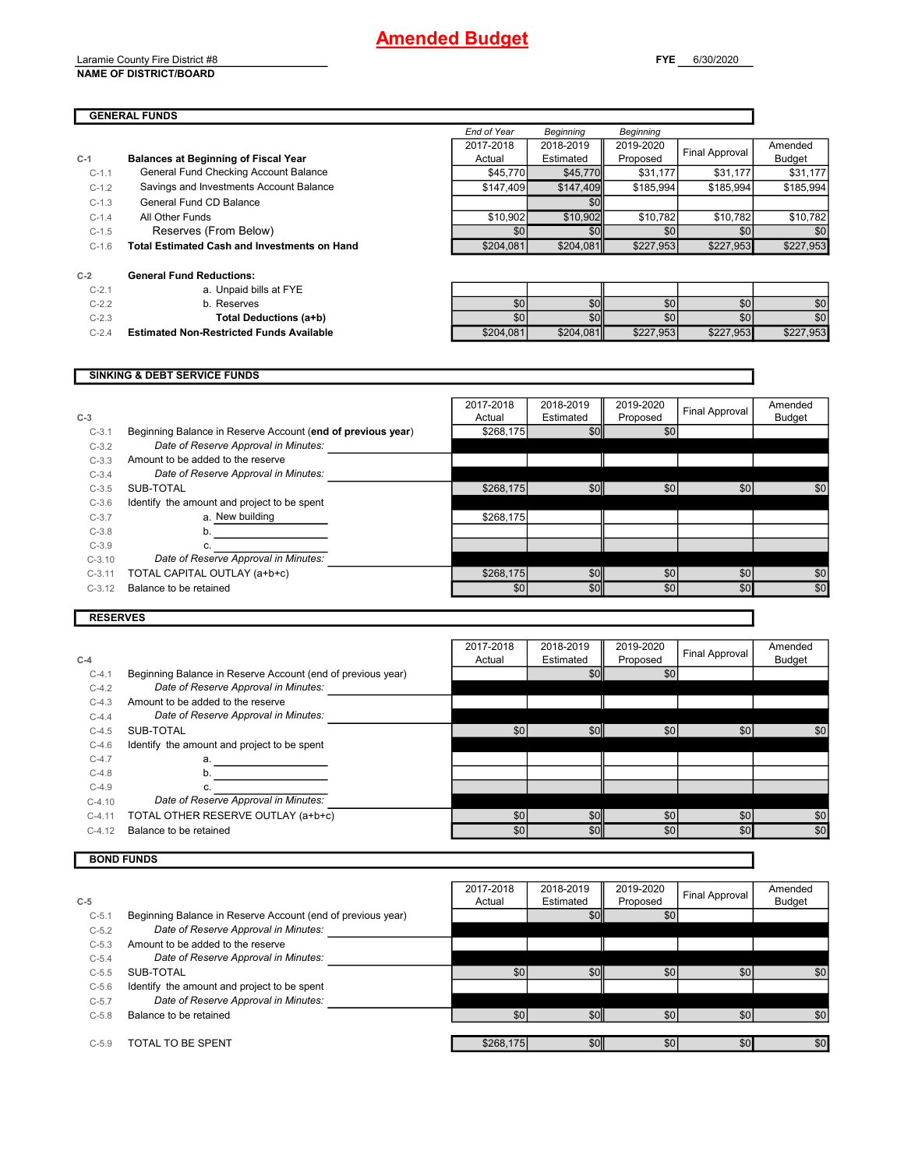## **Amended Budget**

Laramie County Fire District #8 **NAME OF DISTRICT/BOARD**

|         | <b>GENERAL FUNDS</b>                                |             |                  |                  |                |               |
|---------|-----------------------------------------------------|-------------|------------------|------------------|----------------|---------------|
|         |                                                     | End of Year | <b>Beginning</b> | <b>Beginning</b> |                |               |
|         |                                                     | 2017-2018   | 2018-2019        | 2019-2020        |                | Amended       |
| $C-1$   | <b>Balances at Beginning of Fiscal Year</b>         | Actual      | Estimated        | Proposed         | Final Approval | <b>Budget</b> |
| $C-1.1$ | General Fund Checking Account Balance               | \$45,770    | \$45,770         | \$31,177         | \$31,177       | \$31,177      |
| $C-1.2$ | Savings and Investments Account Balance             | \$147.409   | \$147,409        | \$185.994        | \$185.994      | \$185,994     |
| $C-1.3$ | General Fund CD Balance                             |             | \$0              |                  |                |               |
| $C-1.4$ | All Other Funds                                     | \$10,902    | \$10,902         | \$10.782         | \$10.782       | \$10,782      |
| $C-1.5$ | Reserves (From Below)                               | \$0         | \$0              | \$0              | \$0            | \$0           |
| $C-1.6$ | <b>Total Estimated Cash and Investments on Hand</b> | \$204,081   | \$204,081        | \$227,953        | \$227,953      | \$227,953     |
| $C-2$   | <b>General Fund Reductions:</b>                     |             |                  |                  |                |               |
| $C-2.1$ | a. Unpaid bills at FYE                              |             |                  |                  |                |               |
| $C-2.2$ | b. Reserves                                         | \$0         | \$0              | \$0              | \$0            | \$0           |
| $C-2.3$ | <b>Total Deductions (a+b)</b>                       | \$0         | \$0              | \$0 <sub>1</sub> | \$0            | \$0           |

C-2.4 **Estimated Non-Restricted Funds Available \$204,081** \$204,081 \$204,081 \$227,953 \$227,953 \$227,953

## **SINKING & DEBT SERVICE FUNDS**

| $C-3$    |                                                             | 2017-2018<br>Actual | 2018-2019<br>Estimated | 2019-2020<br>Proposed | Final Approval | Amended<br><b>Budget</b> |
|----------|-------------------------------------------------------------|---------------------|------------------------|-----------------------|----------------|--------------------------|
| $C-3.1$  | Beginning Balance in Reserve Account (end of previous year) | \$268,175           | \$0                    | \$0                   |                |                          |
| $C-3.2$  | Date of Reserve Approval in Minutes:                        |                     |                        |                       |                |                          |
| $C-3.3$  | Amount to be added to the reserve                           |                     |                        |                       |                |                          |
| $C-3.4$  | Date of Reserve Approval in Minutes:                        |                     |                        |                       |                |                          |
| $C-3.5$  | SUB-TOTAL                                                   | \$268,175           | \$0                    | \$0                   | \$0            | \$0                      |
| $C-3.6$  | Identify the amount and project to be spent                 |                     |                        |                       |                |                          |
| $C-3.7$  | a. New building                                             | \$268.175           |                        |                       |                |                          |
| $C-3.8$  |                                                             |                     |                        |                       |                |                          |
| $C-3.9$  |                                                             |                     |                        |                       |                |                          |
| $C-3.10$ | Date of Reserve Approval in Minutes:                        |                     |                        |                       |                |                          |
| $C-3.11$ | TOTAL CAPITAL OUTLAY (a+b+c)                                | \$268,175           | \$0                    | \$0                   | \$0            | \$0                      |
| $C-3.12$ | Balance to be retained                                      | \$0                 | \$0                    | \$0                   | \$0            | \$0                      |
|          |                                                             |                     |                        |                       |                |                          |

## **RESERVES**

Г

L

|           |                                                             | 2017-2018 | 2018-2019 | 2019-2020 | <b>Final Approval</b> | Amended       |
|-----------|-------------------------------------------------------------|-----------|-----------|-----------|-----------------------|---------------|
| $C-4$     |                                                             | Actual    | Estimated | Proposed  |                       | <b>Budget</b> |
| $C-4.1$   | Beginning Balance in Reserve Account (end of previous year) |           | \$0       | \$0       |                       |               |
| $C-4.2$   | Date of Reserve Approval in Minutes:                        |           |           |           |                       |               |
| $C-4.3$   | Amount to be added to the reserve                           |           |           |           |                       |               |
| $C - 4.4$ | Date of Reserve Approval in Minutes:                        |           |           |           |                       |               |
| $C-4.5$   | SUB-TOTAL                                                   | \$0       | \$0       | \$0       | \$0                   | \$0           |
| $C-4.6$   | Identify the amount and project to be spent                 |           |           |           |                       |               |
| $C-4.7$   | a.                                                          |           |           |           |                       |               |
| $C-4.8$   |                                                             |           |           |           |                       |               |
| $C-4.9$   |                                                             |           |           |           |                       |               |
| $C-4.10$  | Date of Reserve Approval in Minutes:                        |           |           |           |                       |               |
| $C-4.11$  | TOTAL OTHER RESERVE OUTLAY (a+b+c)                          | \$0       | \$0       | \$0       | \$0                   | \$0           |
| $C-4.12$  | Balance to be retained                                      | \$0       | \$0       | \$0       | \$0                   | \$0           |

## **BOND FUNDS**

|           |                                                             | 2017-2018 | 2018-2019 | 2019-2020 | <b>Final Approval</b> | Amended       |
|-----------|-------------------------------------------------------------|-----------|-----------|-----------|-----------------------|---------------|
| $C-5$     |                                                             | Actual    | Estimated | Proposed  |                       | <b>Budget</b> |
| $C-5.1$   | Beginning Balance in Reserve Account (end of previous year) |           | \$0       | \$0       |                       |               |
| $C-5.2$   | Date of Reserve Approval in Minutes:                        |           |           |           |                       |               |
| $C - 5.3$ | Amount to be added to the reserve                           |           |           |           |                       |               |
| $C-5.4$   | Date of Reserve Approval in Minutes:                        |           |           |           |                       |               |
| $C - 5.5$ | SUB-TOTAL                                                   | \$0       | \$0       | \$0       | \$0                   | \$0           |
| $C - 5.6$ | Identify the amount and project to be spent                 |           |           |           |                       |               |
| $C-5.7$   | Date of Reserve Approval in Minutes:                        |           |           |           |                       |               |
| $C-5.8$   | Balance to be retained                                      | \$0       | \$0       | \$0       | \$0                   | \$0           |
|           |                                                             |           |           |           |                       |               |
| $C-5.9$   | TOTAL TO BE SPENT                                           | \$268,175 | \$0       | \$0       | \$0                   | \$0           |